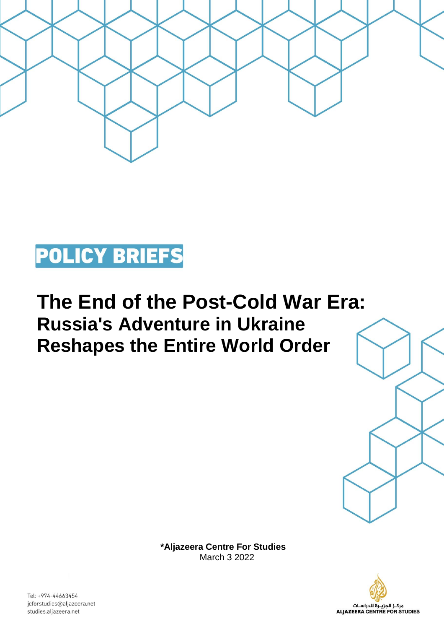

## **POLICY BRIEFS**

## **The End of the Post-Cold War Era: Russia's Adventure in Ukraine Reshapes the Entire World Order**

**\*Aljazeera Centre For Studies**  March 3 2022



Tel: +974-44663454 jcforstudies@aljazeera.net studies.aljazeera.net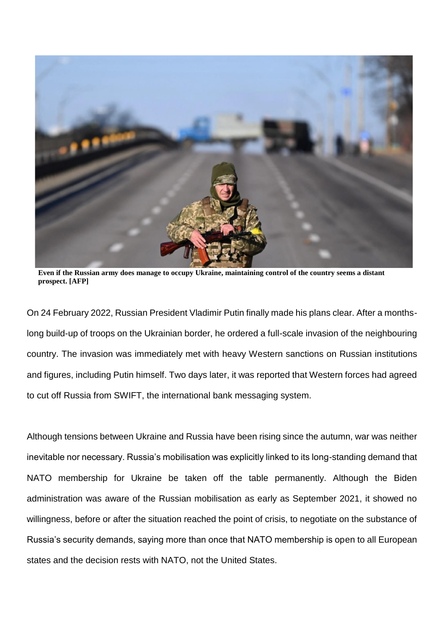

**Even if the Russian army does manage to occupy Ukraine, maintaining control of the country seems a distant prospect. [AFP]**

On 24 February 2022, Russian President Vladimir Putin finally made his plans clear. After a monthslong build-up of troops on the Ukrainian border, he ordered a full-scale invasion of the neighbouring country. The invasion was immediately met with heavy Western sanctions on Russian institutions and figures, including Putin himself. Two days later, it was reported that Western forces had agreed to cut off Russia from SWIFT, the international bank messaging system.

Although tensions between Ukraine and Russia have been rising since the autumn, war was neither inevitable nor necessary. Russia's mobilisation was explicitly linked to its long-standing demand that NATO membership for Ukraine be taken off the table permanently. Although the Biden administration was aware of the Russian mobilisation as early as September 2021, it showed no willingness, before or after the situation reached the point of crisis, to negotiate on the substance of Russia's security demands, saying more than once that NATO membership is open to all European states and the decision rests with NATO, not the United States.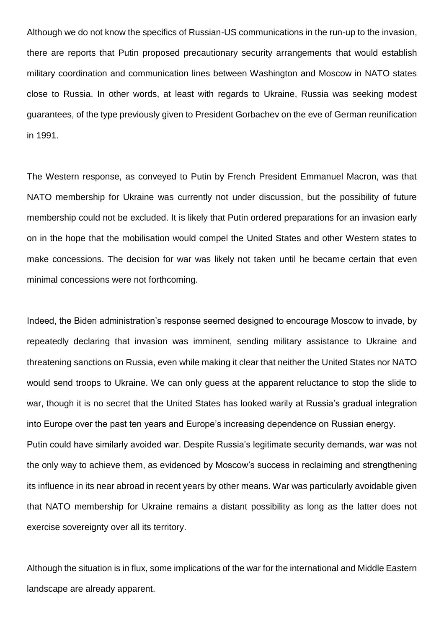Although we do not know the specifics of Russian-US communications in the run-up to the invasion, there are reports that Putin proposed precautionary security arrangements that would establish military coordination and communication lines between Washington and Moscow in NATO states close to Russia. In other words, at least with regards to Ukraine, Russia was seeking modest guarantees, of the type previously given to President Gorbachev on the eve of German reunification in 1991.

The Western response, as conveyed to Putin by French President Emmanuel Macron, was that NATO membership for Ukraine was currently not under discussion, but the possibility of future membership could not be excluded. It is likely that Putin ordered preparations for an invasion early on in the hope that the mobilisation would compel the United States and other Western states to make concessions. The decision for war was likely not taken until he became certain that even minimal concessions were not forthcoming.

Indeed, the Biden administration's response seemed designed to encourage Moscow to invade, by repeatedly declaring that invasion was imminent, sending military assistance to Ukraine and threatening sanctions on Russia, even while making it clear that neither the United States nor NATO would send troops to Ukraine. We can only guess at the apparent reluctance to stop the slide to war, though it is no secret that the United States has looked warily at Russia's gradual integration into Europe over the past ten years and Europe's increasing dependence on Russian energy. Putin could have similarly avoided war. Despite Russia's legitimate security demands, war was not the only way to achieve them, as evidenced by Moscow's success in reclaiming and strengthening its influence in its near abroad in recent years by other means. War was particularly avoidable given that NATO membership for Ukraine remains a distant possibility as long as the latter does not

exercise sovereignty over all its territory.

Although the situation is in flux, some implications of the war for the international and Middle Eastern landscape are already apparent.